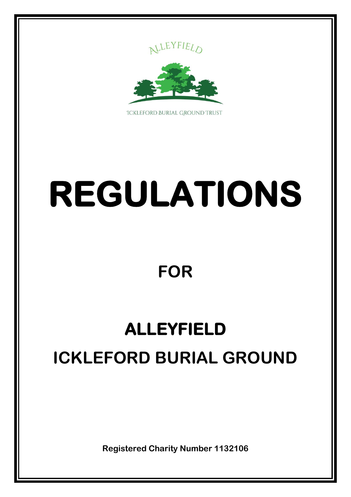



**TCKLEFORD BURIAL GROUND TRUST** 

# **REGULATIONS**

### **FOR**

## **ALLEYFIELD ICKLEFORD BURIAL GROUND**

**Registered Charity Number 1132106**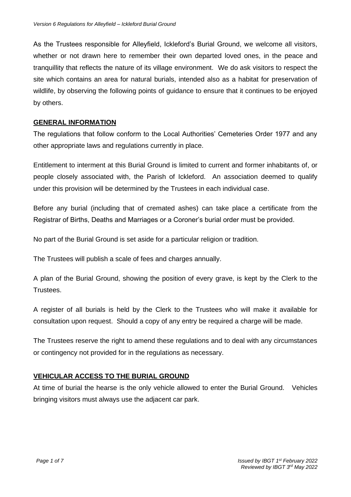As the Trustees responsible for Alleyfield, Ickleford's Burial Ground, we welcome all visitors, whether or not drawn here to remember their own departed loved ones, in the peace and tranquillity that reflects the nature of its village environment. We do ask visitors to respect the site which contains an area for natural burials, intended also as a habitat for preservation of wildlife, by observing the following points of guidance to ensure that it continues to be enjoyed by others.

#### **GENERAL INFORMATION**

The regulations that follow conform to the Local Authorities' Cemeteries Order 1977 and any other appropriate laws and regulations currently in place.

Entitlement to interment at this Burial Ground is limited to current and former inhabitants of, or people closely associated with, the Parish of Ickleford. An association deemed to qualify under this provision will be determined by the Trustees in each individual case.

Before any burial (including that of cremated ashes) can take place a certificate from the Registrar of Births, Deaths and Marriages or a Coroner's burial order must be provided.

No part of the Burial Ground is set aside for a particular religion or tradition.

The Trustees will publish a scale of fees and charges annually.

A plan of the Burial Ground, showing the position of every grave, is kept by the Clerk to the Trustees.

A register of all burials is held by the Clerk to the Trustees who will make it available for consultation upon request. Should a copy of any entry be required a charge will be made.

The Trustees reserve the right to amend these regulations and to deal with any circumstances or contingency not provided for in the regulations as necessary.

#### **VEHICULAR ACCESS TO THE BURIAL GROUND**

At time of burial the hearse is the only vehicle allowed to enter the Burial Ground. Vehicles bringing visitors must always use the adjacent car park.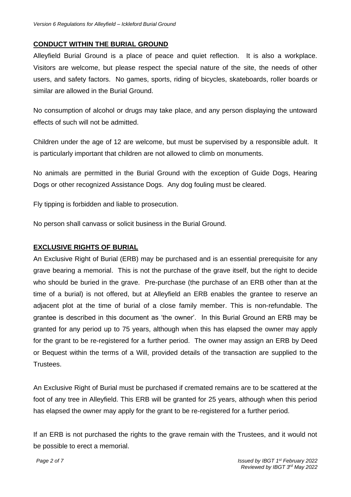#### **CONDUCT WITHIN THE BURIAL GROUND**

Alleyfield Burial Ground is a place of peace and quiet reflection. It is also a workplace. Visitors are welcome, but please respect the special nature of the site, the needs of other users, and safety factors. No games, sports, riding of bicycles, skateboards, roller boards or similar are allowed in the Burial Ground.

No consumption of alcohol or drugs may take place, and any person displaying the untoward effects of such will not be admitted.

Children under the age of 12 are welcome, but must be supervised by a responsible adult. It is particularly important that children are not allowed to climb on monuments.

No animals are permitted in the Burial Ground with the exception of Guide Dogs, Hearing Dogs or other recognized Assistance Dogs. Any dog fouling must be cleared.

Fly tipping is forbidden and liable to prosecution.

No person shall canvass or solicit business in the Burial Ground.

#### **EXCLUSIVE RIGHTS OF BURIAL**

An Exclusive Right of Burial (ERB) may be purchased and is an essential prerequisite for any grave bearing a memorial. This is not the purchase of the grave itself, but the right to decide who should be buried in the grave. Pre-purchase (the purchase of an ERB other than at the time of a burial) is not offered, but at Alleyfield an ERB enables the grantee to reserve an adjacent plot at the time of burial of a close family member. This is non-refundable. The grantee is described in this document as 'the owner'. In this Burial Ground an ERB may be granted for any period up to 75 years, although when this has elapsed the owner may apply for the grant to be re-registered for a further period. The owner may assign an ERB by Deed or Bequest within the terms of a Will, provided details of the transaction are supplied to the Trustees.

An Exclusive Right of Burial must be purchased if cremated remains are to be scattered at the foot of any tree in Alleyfield. This ERB will be granted for 25 years, although when this period has elapsed the owner may apply for the grant to be re-registered for a further period.

If an ERB is not purchased the rights to the grave remain with the Trustees, and it would not be possible to erect a memorial.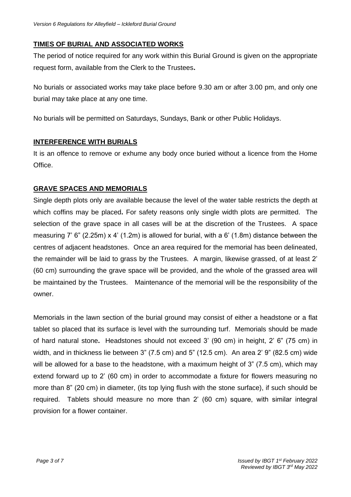#### **TIMES OF BURIAL AND ASSOCIATED WORKS**

The period of notice required for any work within this Burial Ground is given on the appropriate request form, available from the Clerk to the Trustees**.**

No burials or associated works may take place before 9.30 am or after 3.00 pm, and only one burial may take place at any one time.

No burials will be permitted on Saturdays, Sundays, Bank or other Public Holidays.

#### **INTERFERENCE WITH BURIALS**

It is an offence to remove or exhume any body once buried without a licence from the Home Office.

#### **GRAVE SPACES AND MEMORIALS**

Single depth plots only are available because the level of the water table restricts the depth at which coffins may be placed**.** For safety reasons only single width plots are permitted. The selection of the grave space in all cases will be at the discretion of the Trustees. A space measuring 7' 6" (2.25m) x 4' (1.2m) is allowed for burial, with a 6' (1.8m) distance between the centres of adjacent headstones. Once an area required for the memorial has been delineated, the remainder will be laid to grass by the Trustees. A margin, likewise grassed, of at least 2' (60 cm) surrounding the grave space will be provided, and the whole of the grassed area will be maintained by the Trustees. Maintenance of the memorial will be the responsibility of the owner.

Memorials in the lawn section of the burial ground may consist of either a headstone or a flat tablet so placed that its surface is level with the surrounding turf. Memorials should be made of hard natural stone**.** Headstones should not exceed 3' (90 cm) in height, 2' 6" (75 cm) in width, and in thickness lie between 3" (7.5 cm) and 5" (12.5 cm). An area 2' 9" (82.5 cm) wide will be allowed for a base to the headstone, with a maximum height of 3" (7.5 cm), which may extend forward up to 2' (60 cm) in order to accommodate a fixture for flowers measuring no more than 8" (20 cm) in diameter, (its top lying flush with the stone surface), if such should be required.Tablets should measure no more than 2' (60 cm) square, with similar integral provision for a flower container.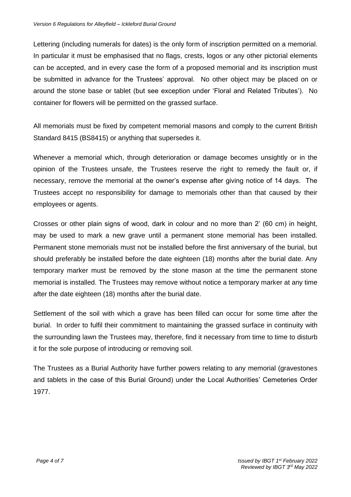Lettering (including numerals for dates) is the only form of inscription permitted on a memorial. In particular it must be emphasised that no flags, crests, logos or any other pictorial elements can be accepted, and in every case the form of a proposed memorial and its inscription must be submitted in advance for the Trustees' approval. No other object may be placed on or around the stone base or tablet (but see exception under 'Floral and Related Tributes'). No container for flowers will be permitted on the grassed surface.

All memorials must be fixed by competent memorial masons and comply to the current British Standard 8415 (BS8415) or anything that supersedes it.

Whenever a memorial which, through deterioration or damage becomes unsightly or in the opinion of the Trustees unsafe, the Trustees reserve the right to remedy the fault or, if necessary, remove the memorial at the owner's expense after giving notice of 14 days. The Trustees accept no responsibility for damage to memorials other than that caused by their employees or agents.

Crosses or other plain signs of wood, dark in colour and no more than 2' (60 cm) in height, may be used to mark a new grave until a permanent stone memorial has been installed. Permanent stone memorials must not be installed before the first anniversary of the burial, but should preferably be installed before the date eighteen (18) months after the burial date. Any temporary marker must be removed by the stone mason at the time the permanent stone memorial is installed. The Trustees may remove without notice a temporary marker at any time after the date eighteen (18) months after the burial date.

Settlement of the soil with which a grave has been filled can occur for some time after the burial. In order to fulfil their commitment to maintaining the grassed surface in continuity with the surrounding lawn the Trustees may, therefore, find it necessary from time to time to disturb it for the sole purpose of introducing or removing soil.

The Trustees as a Burial Authority have further powers relating to any memorial (gravestones and tablets in the case of this Burial Ground) under the Local Authorities' Cemeteries Order 1977.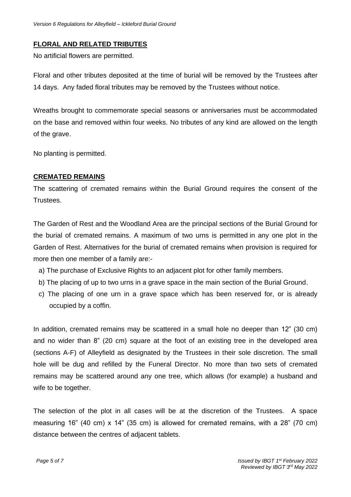#### **FLORAL AND RELATED TRIBUTES**

No artificial flowers are permitted.

Floral and other tributes deposited at the time of burial will be removed by the Trustees after 14 days. Any faded floral tributes may be removed by the Trustees without notice.

Wreaths brought to commemorate special seasons or anniversaries must be accommodated on the base and removed within four weeks. No tributes of any kind are allowed on the length of the grave.

No planting is permitted.

#### **CREMATED REMAINS**

The scattering of cremated remains within the Burial Ground requires the consent of the Trustees.

The Garden of Rest and the Woodland Area are the principal sections of the Burial Ground for the burial of cremated remains. A maximum of two urns is permitted in any one plot in the Garden of Rest. Alternatives for the burial of cremated remains when provision is required for more then one member of a family are:-

- a) The purchase of Exclusive Rights to an adjacent plot for other family members.
- b) The placing of up to two urns in a grave space in the main section of the Burial Ground.
- c) The placing of one urn in a grave space which has been reserved for, or is already occupied by a coffin.

In addition, cremated remains may be scattered in a small hole no deeper than 12" (30 cm) and no wider than 8" (20 cm) square at the foot of an existing tree in the developed area (sections A-F) of Alleyfield as designated by the Trustees in their sole discretion. The small hole will be dug and refilled by the Funeral Director. No more than two sets of cremated remains may be scattered around any one tree, which allows (for example) a husband and wife to be together.

The selection of the plot in all cases will be at the discretion of the Trustees. A space measuring 16" (40 cm) x 14" (35 cm) is allowed for cremated remains, with a 28" (70 cm) distance between the centres of adjacent tablets.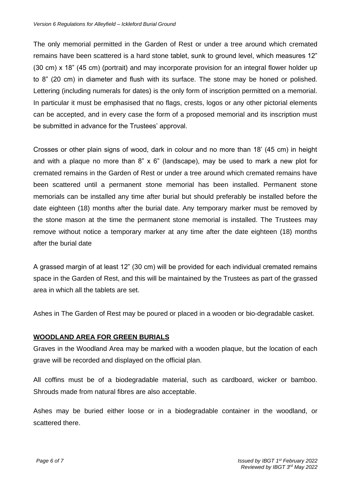The only memorial permitted in the Garden of Rest or under a tree around which cremated remains have been scattered is a hard stone tablet, sunk to ground level, which measures 12" (30 cm) x 18" (45 cm) (portrait) and may incorporate provision for an integral flower holder up to 8" (20 cm) in diameter and flush with its surface. The stone may be honed or polished. Lettering (including numerals for dates) is the only form of inscription permitted on a memorial. In particular it must be emphasised that no flags, crests, logos or any other pictorial elements can be accepted, and in every case the form of a proposed memorial and its inscription must be submitted in advance for the Trustees' approval.

Crosses or other plain signs of wood, dark in colour and no more than 18' (45 cm) in height and with a plaque no more than 8" x 6" (landscape), may be used to mark a new plot for cremated remains in the Garden of Rest or under a tree around which cremated remains have been scattered until a permanent stone memorial has been installed. Permanent stone memorials can be installed any time after burial but should preferably be installed before the date eighteen (18) months after the burial date. Any temporary marker must be removed by the stone mason at the time the permanent stone memorial is installed. The Trustees may remove without notice a temporary marker at any time after the date eighteen (18) months after the burial date

A grassed margin of at least 12" (30 cm) will be provided for each individual cremated remains space in the Garden of Rest, and this will be maintained by the Trustees as part of the grassed area in which all the tablets are set.

Ashes in The Garden of Rest may be poured or placed in a wooden or bio-degradable casket.

#### **WOODLAND AREA FOR GREEN BURIALS**

Graves in the Woodland Area may be marked with a wooden plaque, but the location of each grave will be recorded and displayed on the official plan.

All coffins must be of a biodegradable material, such as cardboard, wicker or bamboo. Shrouds made from natural fibres are also acceptable.

Ashes may be buried either loose or in a biodegradable container in the woodland, or scattered there.